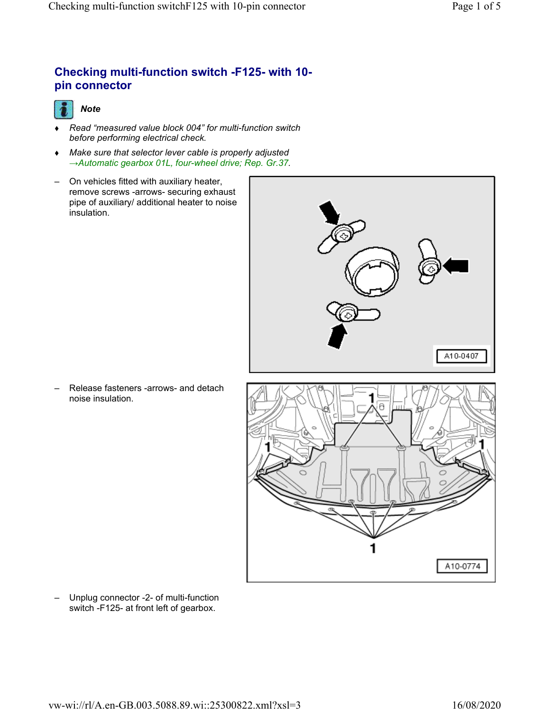## **Checking multi-function switch -F125- with 10 pin connector**



- *Read "measured value block 004" for multi-function switch before performing electrical check.*
- *Make sure that selector lever cable is properly adjusted →Automatic gearbox 01L, four-wheel drive; Rep. Gr.37.*
- On vehicles fitted with auxiliary heater, remove screws -arrows- securing exhaust pipe of auxiliary/ additional heater to noise insulation.



– Release fasteners -arrows- and detach noise insulation.



– Unplug connector -2- of multi-function switch -F125- at front left of gearbox.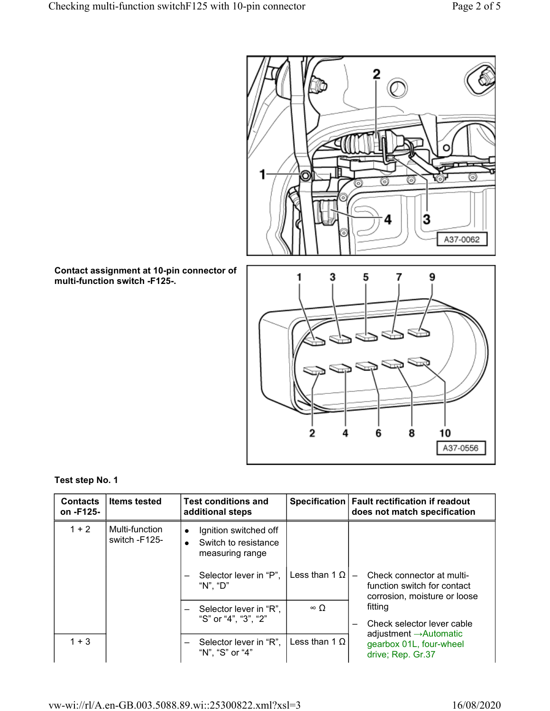

**Contact assignment at 10-pin connector of multi-function switch -F125-.**



### **Test step No. 1**

| <b>Contacts</b><br>on -F125- | <b>Items tested</b>             | <b>Test conditions and</b><br>additional steps                                             |                      | Specification   Fault rectification if readout<br>does not match specification           |
|------------------------------|---------------------------------|--------------------------------------------------------------------------------------------|----------------------|------------------------------------------------------------------------------------------|
| $1 + 2$                      | Multi-function<br>switch -F125- | Ignition switched off<br>$\bullet$<br>Switch to resistance<br>$\bullet$<br>measuring range |                      |                                                                                          |
|                              |                                 | Selector lever in "P".<br>"N". "D"                                                         | Less than 1 $\Omega$ | Check connector at multi-<br>function switch for contact<br>corrosion, moisture or loose |
|                              |                                 | Selector lever in "R",<br>"S" or "4", "3", "2"                                             | $\infty$ $\cap$      | fitting<br>Check selector lever cable<br>$\overline{\phantom{0}}$                        |
| $1 + 3$                      |                                 | Selector lever in "R",<br>$\qquad \qquad$<br>"N", "S" or "4"                               | Less than 1 $\Omega$ | adjustment $\rightarrow$ Automatic<br>gearbox 01L, four-wheel<br>drive; Rep. Gr.37       |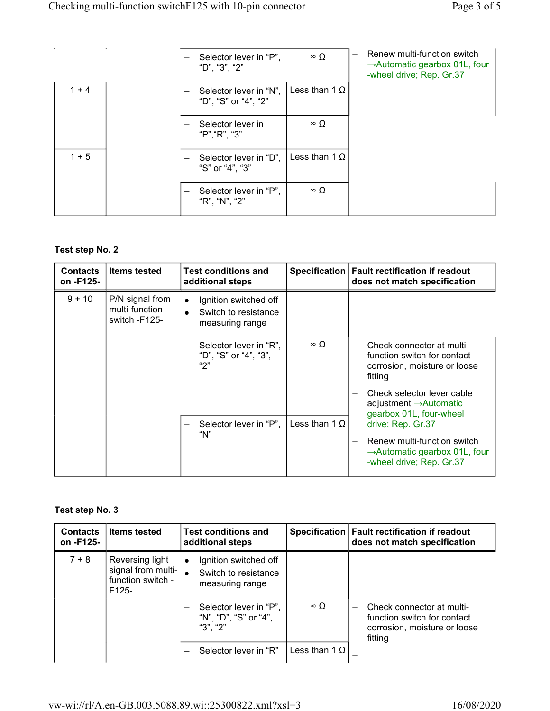|         |  | Selector lever in "P",<br>"D", "3", "2"        | $\infty$ $\Omega$    | Renew multi-function switch<br>$\rightarrow$ Automatic gearbox 01L, four<br>-wheel drive; Rep. Gr.37 |
|---------|--|------------------------------------------------|----------------------|------------------------------------------------------------------------------------------------------|
| $1 + 4$ |  | Selector lever in "N",<br>"D", "S" or "4", "2" | Less than 1 $\Omega$ |                                                                                                      |
|         |  | Selector lever in<br>"P", "R", "3"             | $\infty$ $\Omega$    |                                                                                                      |
| $1 + 5$ |  | Selector lever in "D",<br>"S" or "4", "3"      | Less than 1 $\Omega$ |                                                                                                      |
|         |  | Selector lever in "P",<br>"R", "N", "2"        | $\infty$ $\Omega$    |                                                                                                      |

## **Test step No. 2**

| <b>Contacts</b><br>on -F125- | <b>Items tested</b>                                | <b>Test conditions and</b><br>additional steps                                                                                          |                      | Specification   Fault rectification if readout<br>does not match specification                                                    |
|------------------------------|----------------------------------------------------|-----------------------------------------------------------------------------------------------------------------------------------------|----------------------|-----------------------------------------------------------------------------------------------------------------------------------|
| $9 + 10$                     | P/N signal from<br>multi-function<br>switch -F125- | Ignition switched off<br>$\bullet$<br>Switch to resistance<br>measuring range<br>Selector lever in "R",<br>"D", "S" or "4", "3",<br>"2" | $\infty$ $\Omega$    | Check connector at multi-<br>function switch for contact<br>corrosion, moisture or loose<br>fitting<br>Check selector lever cable |
|                              |                                                    |                                                                                                                                         |                      | adjustment $\rightarrow$ Automatic<br>gearbox 01L, four-wheel                                                                     |
|                              |                                                    | Selector lever in "P",<br>"N"                                                                                                           | Less than 1 $\Omega$ | drive; Rep. Gr.37<br>Renew multi-function switch<br>$\rightarrow$ Automatic gearbox 01L, four<br>-wheel drive; Rep. Gr.37         |

## **Test step No. 3**

| <b>Contacts</b><br>on -F125- | <b>Items tested</b>                                                   | <b>Test conditions and</b><br>additional steps                                                                                               |                      | Specification   Fault rectification if readout<br>does not match specification                      |
|------------------------------|-----------------------------------------------------------------------|----------------------------------------------------------------------------------------------------------------------------------------------|----------------------|-----------------------------------------------------------------------------------------------------|
| $7 + 8$                      | Reversing light<br>signal from multi-<br>function switch -<br>$F125-$ | Ignition switched off<br>$\bullet$<br>Switch to resistance<br>measuring range<br>Selector lever in "P",<br>"N", "D", "S" or "4",<br>"3". "2" | $\infty$ O           | Check connector at multi-<br>function switch for contact<br>corrosion, moisture or loose<br>fitting |
|                              |                                                                       | Selector lever in "R"                                                                                                                        | Less than 1 $\Omega$ |                                                                                                     |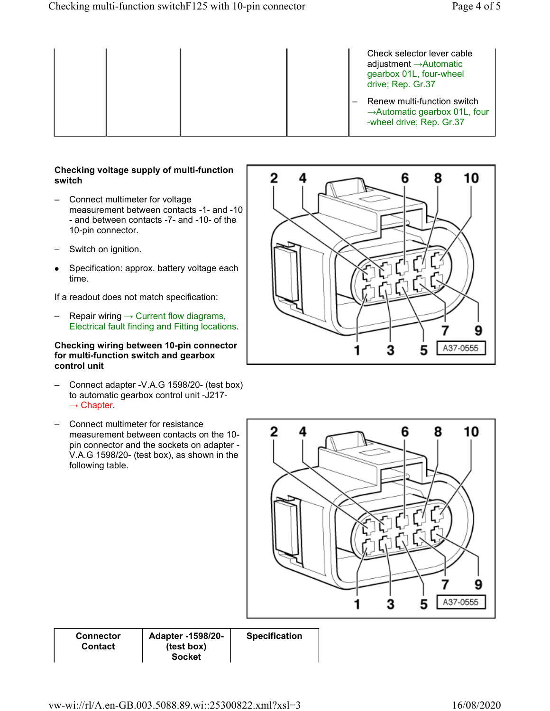|  |  |  | Check selector lever cable<br>adjustment $\rightarrow$ Automatic<br>gearbox 01L, four-wheel<br>drive; Rep. Gr.37 |
|--|--|--|------------------------------------------------------------------------------------------------------------------|
|  |  |  | Renew multi-function switch<br>$\rightarrow$ Automatic gearbox 01L, four<br>-wheel drive; Rep. Gr.37             |

#### **Checking voltage supply of multi-function switch**

- Connect multimeter for voltage measurement between contacts -1- and -10 - and between contacts -7- and -10- of the 10-pin connector.
- Switch on ignition.
- $\bullet$  Specification: approx. battery voltage each time.

If a readout does not match specification:

 $-$  Repair wiring  $\rightarrow$  Current flow diagrams, Electrical fault finding and Fitting locations.

#### **Checking wiring between 10-pin connector for multi-function switch and gearbox control unit**

- Connect adapter -V.A.G 1598/20- (test box) to automatic gearbox control unit -J217-  $\rightarrow$  Chapter.
- Connect multimeter for resistance measurement between contacts on the 10 pin connector and the sockets on adapter - V.A.G 1598/20- (test box), as shown in the following table.





**Connector Contact**

**Adapter -1598/20- (test box) Socket**

**Specification**